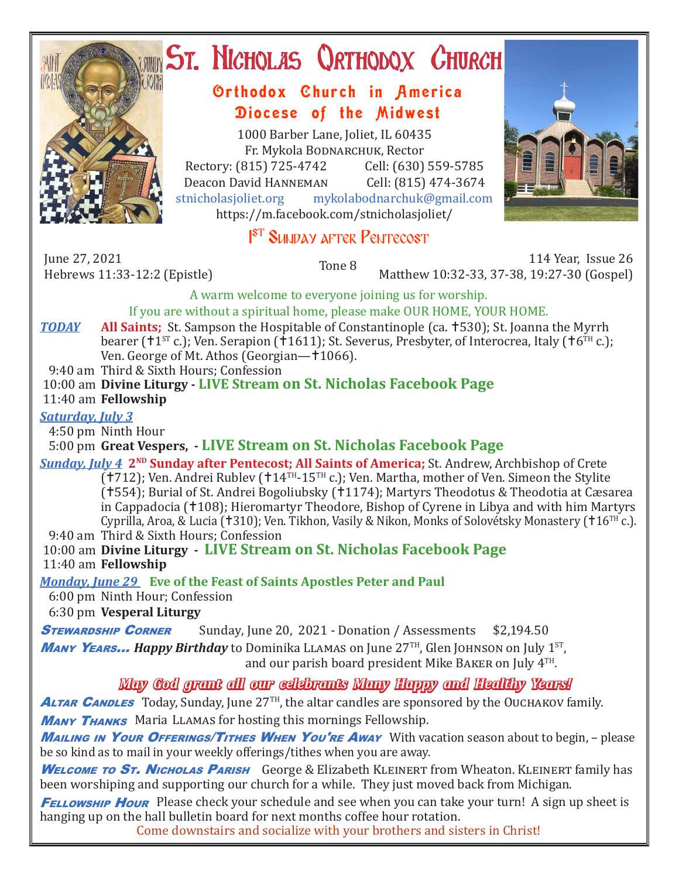

# ST. NICHOLAS QRTHODOX CHURCH

# Orthodox Church in America Diocese of the Midwest

1000 Barber Lane, Joliet, IL 60435 Fr. Mykola Bodnarchuk, Rector Rectory: (815) 725-4742 Cell: (630) 559-5785<br>Deacon David HANNEMAN Cell: (815) 474-3674 Deacon David Hanneman<br>stnicholasioliet.org mykola mykolabodnarchuk@gmail.com https://m.facebook.com/stnicholasjoliet/



#### 1 I<sup>st</sup> Sunday after Pentecost

June 27, 2021<br>Hebrews 11:33-12:2 (Epistle)

Hebrews 11:33-12:2 (Epistle) Tone 8 114 Year, Issue 26 Matthew 10:32-33, 37-38, 19:27-30 (Gospel)

A warm welcome to everyone joining us for worship.

If you are without a spiritual home, please make OUR HOME, YOUR HOME.

*TODAY* **All Saints;** St. Sampson the Hospitable of Constantinople (ca. 530); St. Joanna the Myrrh bearer ( $1^{ST}$  c.); Ven. Serapion ( $1611$ ); St. Severus, Presbyter, of Interocrea, Italy ( $16^{TH}$  c.); Ven. George of Mt. Athos (Georgian—1066).

9:40 am Third & Sixth Hours; Confession

 10:00 am **Divine Liturgy - LIVE Stream on St. Nicholas Facebook Page** 11:40 am **Fellowship**

## *Saturday, July 3*

4:50 pm Ninth Hour

5:00 pm **Great Vespers, - LIVE Stream on St. Nicholas Facebook Page**

*Sunday, July 4* **2<sup>ND</sup> Sunday after Pentecost; All Saints of America; St. Andrew, Archbishop of Crete**  $(1712)$ ; Ven. Andrei Rublev ( $14$ <sup>TH</sup>-15<sup>TH</sup> c.); Ven. Martha, mother of Ven. Simeon the Stylite  $(†554)$ ; Burial of St. Andrei Bogoliubsky (†1174); Martyrs Theodotus & Theodotia at Cæsarea in Cappadocia (†108); Hieromartyr Theodore, Bishop of Cyrene in Libya and with him Martyrs Cyprilla, Aroa, & Lucia (†310); Ven. Tikhon, Vasily & Nikon, Monks of Solovétsky Monastery (†16<sup>TH</sup> c.). 9:40 am Third & Sixth Hours; Confession

 10:00 am **Divine Liturgy - LIVE Stream on St. Nicholas Facebook Page** 11:40 am **Fellowship**

*Monday, June 29* **Eve of the Feast of Saints Apostles Peter and Paul**

6:00 pm Ninth Hour; Confession

6:30 pm **Vesperal Liturgy**

**STEWARDSHIP CORNER** Sunday, June 20, 2021 - Donation / Assessments \$2,194.50

Many Y**EARS...** Happy Birthday to Dominika LLAMAS on June 27<sup>TH</sup>, Glen JOHNSON on July 1<sup>ST</sup>, and our parish board president Mike Baker on July 4TH.

## *May God grant all our celebrants Many Happy and Healthy Years!*

**ALTAR CANDLES** Today, Sunday, June 27<sup>TH</sup>, the altar candles are sponsored by the OUCHAKOV family. **MANY THANKS** Maria LLAMAS for hosting this mornings Fellowship.

**Mailing in Your Offerings/Tithes When You're Away** With vacation season about to begin, - please be so kind as to mail in your weekly offerings/tithes when you are away.

WELCOME TO ST. NICHOLAS PARISH George & Elizabeth KLEINERT from Wheaton. KLEINERT family has been worshiping and supporting our church for a while. They just moved back from Michigan.

**FELLOWSHIP HOUR** Please check your schedule and see when you can take your turn! A sign up sheet is hanging up on the hall bulletin board for next months coffee hour rotation.

Come downstairs and socialize with your brothers and sisters in Christ!